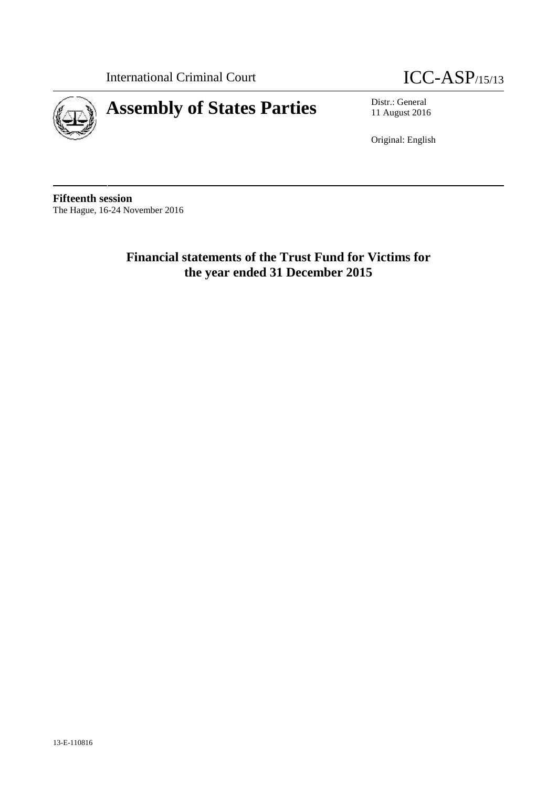



11 August 2016

Original: English

**Fifteenth session** The Hague, 16-24 November 2016

> **Financial statements of the Trust Fund for Victims for the year ended 31 December 2015**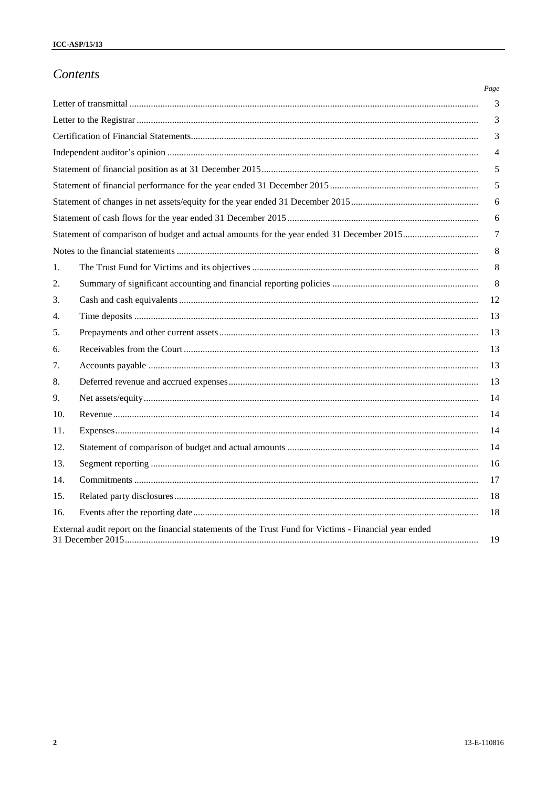# Contents

|     |                                                                                                        | Page |
|-----|--------------------------------------------------------------------------------------------------------|------|
|     |                                                                                                        | 3    |
|     |                                                                                                        | 3    |
|     |                                                                                                        | 3    |
|     |                                                                                                        | 4    |
|     |                                                                                                        | 5    |
|     |                                                                                                        | 5    |
|     |                                                                                                        | 6    |
|     |                                                                                                        | 6    |
|     |                                                                                                        | 7    |
|     |                                                                                                        | 8    |
| 1.  |                                                                                                        | 8    |
| 2.  |                                                                                                        | 8    |
| 3.  |                                                                                                        | 12   |
| 4.  |                                                                                                        | 13   |
| 5.  |                                                                                                        | 13   |
| 6.  |                                                                                                        | 13   |
| 7.  |                                                                                                        | 13   |
| 8.  |                                                                                                        | 13   |
| 9.  |                                                                                                        | 14   |
| 10. |                                                                                                        | 14   |
| 11. |                                                                                                        | 14   |
| 12. |                                                                                                        | 14   |
| 13. |                                                                                                        | 16   |
| 14. |                                                                                                        | 17   |
| 15. |                                                                                                        | 18   |
| 16. |                                                                                                        | 18   |
|     | External audit report on the financial statements of the Trust Fund for Victims - Financial year ended | 19   |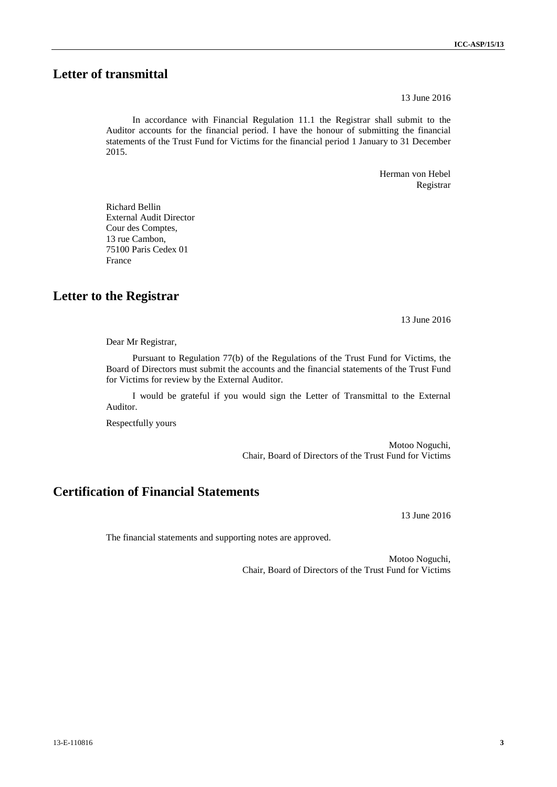# **Letter of transmittal**

13 June 2016

In accordance with Financial Regulation 11.1 the Registrar shall submit to the Auditor accounts for the financial period. I have the honour of submitting the financial statements of the Trust Fund for Victims for the financial period 1 January to 31 December 2015.

> Herman von Hebel Registrar

Richard Bellin External Audit Director Cour des Comptes, 13 rue Cambon, 75100 Paris Cedex 01 France

**Letter to the Registrar**

13 June 2016

Dear Mr Registrar,

Pursuant to Regulation 77(b) of the Regulations of the Trust Fund for Victims, the Board of Directors must submit the accounts and the financial statements of the Trust Fund for Victims for review by the External Auditor.

I would be grateful if you would sign the Letter of Transmittal to the External Auditor.

Respectfully yours

Motoo Noguchi, Chair, Board of Directors of the Trust Fund for Victims

# **Certification of Financial Statements**

13 June 2016

The financial statements and supporting notes are approved.

Motoo Noguchi, Chair, Board of Directors of the Trust Fund for Victims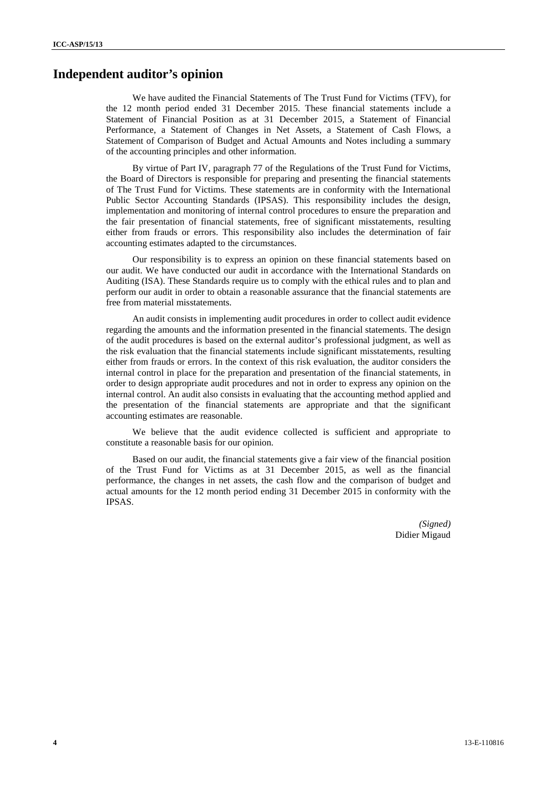## **Independent auditor's opinion**

We have audited the Financial Statements of The Trust Fund for Victims (TFV), for the 12 month period ended 31 December 2015. These financial statements include a Statement of Financial Position as at 31 December 2015, a Statement of Financial Performance, a Statement of Changes in Net Assets, a Statement of Cash Flows, a Statement of Comparison of Budget and Actual Amounts and Notes including a summary of the accounting principles and other information.

By virtue of Part IV, paragraph 77 of the Regulations of the Trust Fund for Victims, the Board of Directors is responsible for preparing and presenting the financial statements of The Trust Fund for Victims. These statements are in conformity with the International Public Sector Accounting Standards (IPSAS). This responsibility includes the design, implementation and monitoring of internal control procedures to ensure the preparation and the fair presentation of financial statements, free of significant misstatements, resulting either from frauds or errors. This responsibility also includes the determination of fair accounting estimates adapted to the circumstances.

Our responsibility is to express an opinion on these financial statements based on our audit. We have conducted our audit in accordance with the International Standards on Auditing (ISA). These Standards require us to comply with the ethical rules and to plan and perform our audit in order to obtain a reasonable assurance that the financial statements are free from material misstatements.

An audit consists in implementing audit procedures in order to collect audit evidence regarding the amounts and the information presented in the financial statements. The design of the audit procedures is based on the external auditor's professional judgment, as well as the risk evaluation that the financial statements include significant misstatements, resulting either from frauds or errors. In the context of this risk evaluation, the auditor considers the internal control in place for the preparation and presentation of the financial statements, in order to design appropriate audit procedures and not in order to express any opinion on the internal control. An audit also consists in evaluating that the accounting method applied and the presentation of the financial statements are appropriate and that the significant accounting estimates are reasonable.

We believe that the audit evidence collected is sufficient and appropriate to constitute a reasonable basis for our opinion.

Based on our audit, the financial statements give a fair view of the financial position of the Trust Fund for Victims as at 31 December 2015, as well as the financial performance, the changes in net assets, the cash flow and the comparison of budget and actual amounts for the 12 month period ending 31 December 2015 in conformity with the IPSAS.

> *(Signed)* Didier Migaud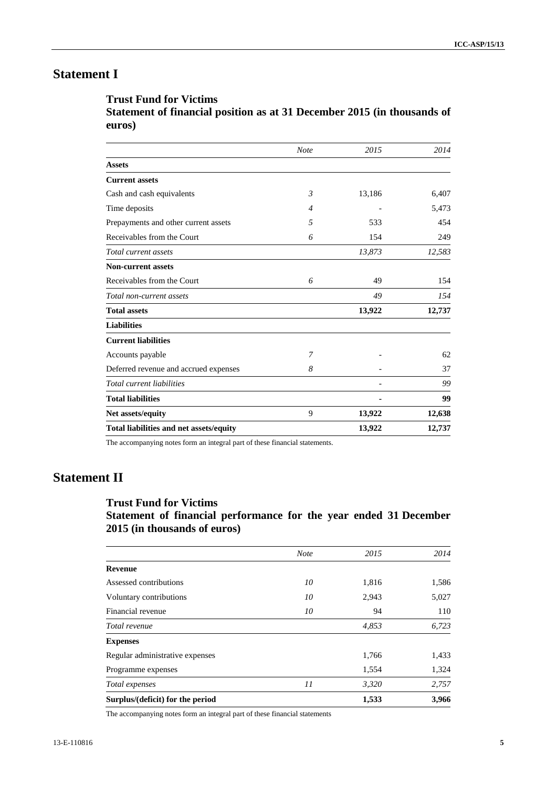# **Statement I**

### **Trust Fund for Victims**

**Statement of financial position as at 31 December 2015 (in thousands of euros)**

|                                         | <b>Note</b>    | 2015   | 2014   |
|-----------------------------------------|----------------|--------|--------|
| <b>Assets</b>                           |                |        |        |
| <b>Current assets</b>                   |                |        |        |
| Cash and cash equivalents               | $\mathfrak{Z}$ | 13,186 | 6,407  |
| Time deposits                           | $\overline{4}$ |        | 5,473  |
| Prepayments and other current assets    | 5              | 533    | 454    |
| Receivables from the Court              | 6              | 154    | 249    |
| Total current assets                    |                | 13,873 | 12,583 |
| <b>Non-current assets</b>               |                |        |        |
| Receivables from the Court              | 6              | 49     | 154    |
| Total non-current assets                |                | 49     | 154    |
| <b>Total assets</b>                     |                | 13,922 | 12,737 |
| <b>Liabilities</b>                      |                |        |        |
| <b>Current liabilities</b>              |                |        |        |
| Accounts payable                        | 7              |        | 62     |
| Deferred revenue and accrued expenses   | 8              |        | 37     |
| Total current liabilities               |                |        | 99     |
| <b>Total liabilities</b>                |                |        | 99     |
| Net assets/equity                       | 9              | 13,922 | 12,638 |
| Total liabilities and net assets/equity |                | 13,922 | 12,737 |

The accompanying notes form an integral part of these financial statements.

# **Statement II**

## **Trust Fund for Victims**

**Statement of financial performance for the year ended 31 December 2015 (in thousands of euros)**

|                                  | <b>Note</b> | 2015  | 2014  |
|----------------------------------|-------------|-------|-------|
| <b>Revenue</b>                   |             |       |       |
| Assessed contributions           | 10          | 1,816 | 1,586 |
| Voluntary contributions          | 10          | 2,943 | 5,027 |
| Financial revenue                | 10          | 94    | 110   |
| Total revenue                    |             | 4,853 | 6,723 |
| <b>Expenses</b>                  |             |       |       |
| Regular administrative expenses  |             | 1,766 | 1,433 |
| Programme expenses               |             | 1,554 | 1,324 |
| Total expenses                   | 11          | 3,320 | 2,757 |
| Surplus/(deficit) for the period |             | 1,533 | 3,966 |

The accompanying notes form an integral part of these financial statements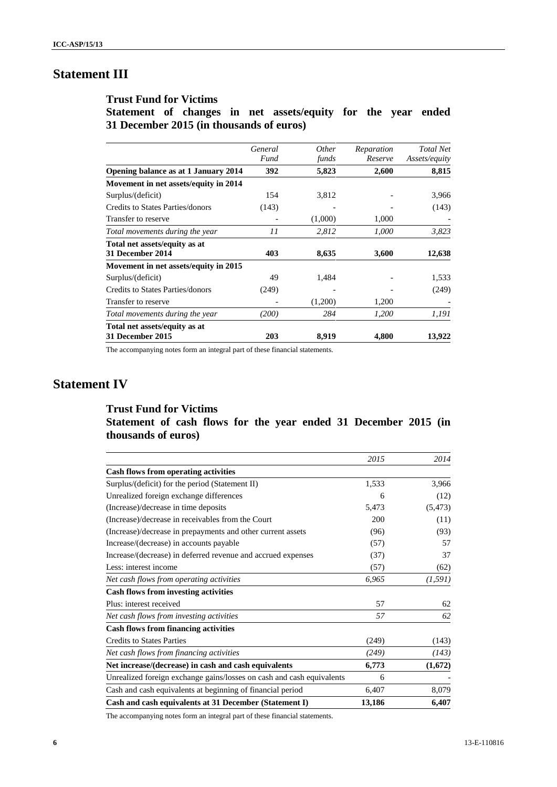# **Statement III**

## **Trust Fund for Victims**

**Statement of changes in net assets/equity for the year ended 31 December 2015 (in thousands of euros)**

|                                                          | General<br>Fund | <i>Other</i><br>funds | Reparation<br>Reserve | <b>Total Net</b><br>Assets/equity |
|----------------------------------------------------------|-----------------|-----------------------|-----------------------|-----------------------------------|
| Opening balance as at 1 January 2014                     | 392             | 5,823                 | 2,600                 | 8,815                             |
| Movement in net assets/equity in 2014                    |                 |                       |                       |                                   |
| Surplus/(deficit)                                        | 154             | 3,812                 |                       | 3,966                             |
| Credits to States Parties/donors                         | (143)           |                       |                       | (143)                             |
| Transfer to reserve                                      |                 | (1,000)               | 1,000                 |                                   |
| Total movements during the year                          | 11              | 2,812                 | 1,000                 | 3,823                             |
| Total net assets/equity as at                            |                 |                       |                       |                                   |
| 31 December 2014                                         | 403             | 8,635                 | 3,600                 | 12,638                            |
| Movement in net assets/equity in 2015                    |                 |                       |                       |                                   |
| Surplus/(deficit)                                        | 49              | 1,484                 |                       | 1,533                             |
| <b>Credits to States Parties/donors</b>                  | (249)           |                       |                       | (249)                             |
| Transfer to reserve                                      |                 | (1,200)               | 1,200                 |                                   |
| Total movements during the year                          | (200)           | 284                   | 1,200                 | 1,191                             |
| Total net assets/equity as at<br><b>31 December 2015</b> | 203             | 8,919                 | 4,800                 | 13,922                            |

The accompanying notes form an integral part of these financial statements.

# **Statement IV**

## **Trust Fund for Victims Statement of cash flows for the year ended 31 December 2015 (in thousands of euros)**

|                                                                       | 2015   | 2014     |
|-----------------------------------------------------------------------|--------|----------|
| <b>Cash flows from operating activities</b>                           |        |          |
| Surplus/(deficit) for the period (Statement II)                       | 1,533  | 3,966    |
| Unrealized foreign exchange differences                               | 6      | (12)     |
| (Increase)/decrease in time deposits                                  | 5,473  | (5, 473) |
| (Increase)/decrease in receivables from the Court                     | 200    | (11)     |
| (Increase)/decrease in prepayments and other current assets           | (96)   | (93)     |
| Increase/(decrease) in accounts payable                               | (57)   | 57       |
| Increase/(decrease) in deferred revenue and accrued expenses          | (37)   | 37       |
| Less: interest income                                                 | (57)   | (62)     |
| Net cash flows from operating activities                              | 6,965  | (1, 591) |
| <b>Cash flows from investing activities</b>                           |        |          |
| Plus: interest received                                               | 57     | 62       |
| Net cash flows from investing activities                              | 57     | 62       |
| <b>Cash flows from financing activities</b>                           |        |          |
| <b>Credits to States Parties</b>                                      | (249)  | (143)    |
| Net cash flows from financing activities                              | (249)  | (143)    |
| Net increase/(decrease) in cash and cash equivalents                  | 6,773  | (1,672)  |
| Unrealized foreign exchange gains/losses on cash and cash equivalents | 6      |          |
| Cash and cash equivalents at beginning of financial period            | 6,407  | 8,079    |
| Cash and cash equivalents at 31 December (Statement I)                | 13,186 | 6,407    |

The accompanying notes form an integral part of these financial statements.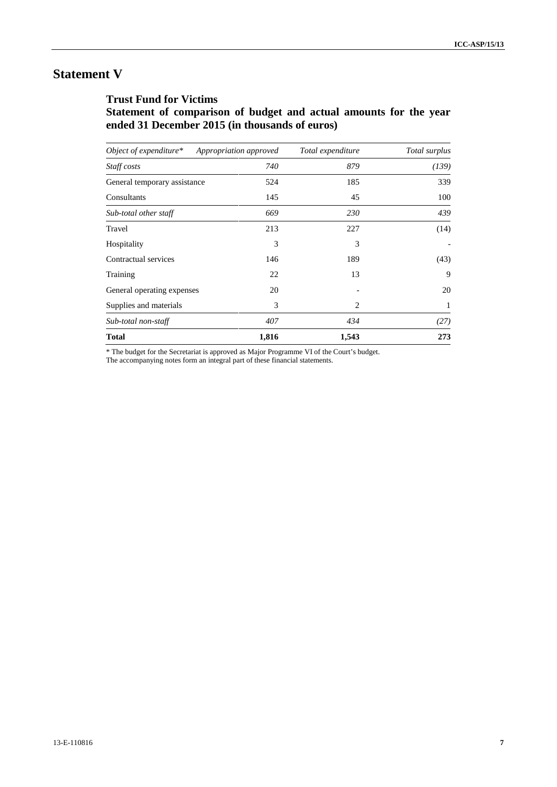# **Statement V**

## **Trust Fund for Victims**

**Statement of comparison of budget and actual amounts for the year ended 31 December 2015 (in thousands of euros)**

| Object of expenditure $*$    | Appropriation approved | Total expenditure | Total surplus |
|------------------------------|------------------------|-------------------|---------------|
| Staff costs                  | 740                    | 879               | (139)         |
| General temporary assistance | 524                    | 185               | 339           |
| Consultants                  | 145                    | 45                | 100           |
| Sub-total other staff        | 669                    | 230               | 439           |
| Travel                       | 213                    | 227               | (14)          |
| Hospitality                  | 3                      | 3                 |               |
| Contractual services         | 146                    | 189               | (43)          |
| Training                     | 22                     | 13                | 9             |
| General operating expenses   | 20                     |                   | 20            |
| Supplies and materials       | 3                      | 2                 | 1             |
| Sub-total non-staff          | 407                    | 434               | (27)          |
| <b>Total</b>                 | 1,816                  | 1,543             | 273           |

\* The budget for the Secretariat is approved as Major Programme VI of the Court's budget.

The accompanying notes form an integral part of these financial statements.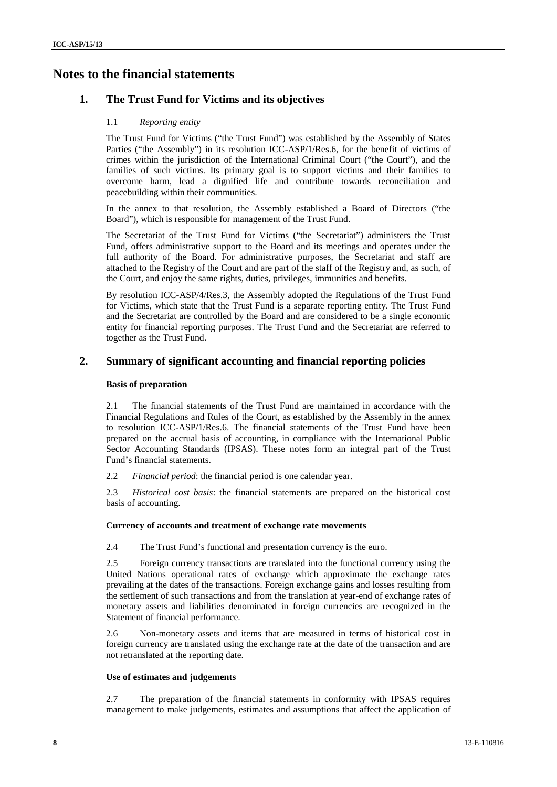# **Notes to the financial statements**

### **1. The Trust Fund for Victims and its objectives**

#### 1.1 *Reporting entity*

The Trust Fund for Victims ("the Trust Fund") was established by the Assembly of States Parties ("the Assembly") in its resolution ICC-ASP/1/Res.6, for the benefit of victims of crimes within the jurisdiction of the International Criminal Court ("the Court"), and the families of such victims. Its primary goal is to support victims and their families to overcome harm, lead a dignified life and contribute towards reconciliation and peacebuilding within their communities.

In the annex to that resolution, the Assembly established a Board of Directors ("the Board"), which is responsible for management of the Trust Fund.

The Secretariat of the Trust Fund for Victims ("the Secretariat") administers the Trust Fund, offers administrative support to the Board and its meetings and operates under the full authority of the Board. For administrative purposes, the Secretariat and staff are attached to the Registry of the Court and are part of the staff of the Registry and, as such, of the Court, and enjoy the same rights, duties, privileges, immunities and benefits.

By resolution ICC-ASP/4/Res.3, the Assembly adopted the Regulations of the Trust Fund for Victims, which state that the Trust Fund is a separate reporting entity. The Trust Fund and the Secretariat are controlled by the Board and are considered to be a single economic entity for financial reporting purposes. The Trust Fund and the Secretariat are referred to together as the Trust Fund.

### **2. Summary of significant accounting and financial reporting policies**

#### **Basis of preparation**

2.1 The financial statements of the Trust Fund are maintained in accordance with the Financial Regulations and Rules of the Court, as established by the Assembly in the annex to resolution ICC-ASP/1/Res.6. The financial statements of the Trust Fund have been prepared on the accrual basis of accounting, in compliance with the International Public Sector Accounting Standards (IPSAS). These notes form an integral part of the Trust Fund's financial statements.

2.2 *Financial period*: the financial period is one calendar year.

2.3 *Historical cost basis*: the financial statements are prepared on the historical cost basis of accounting.

#### **Currency of accounts and treatment of exchange rate movements**

2.4 The Trust Fund's functional and presentation currency is the euro.

2.5 Foreign currency transactions are translated into the functional currency using the United Nations operational rates of exchange which approximate the exchange rates prevailing at the dates of the transactions. Foreign exchange gains and losses resulting from the settlement of such transactions and from the translation at year-end of exchange rates of monetary assets and liabilities denominated in foreign currencies are recognized in the Statement of financial performance.

2.6 Non-monetary assets and items that are measured in terms of historical cost in foreign currency are translated using the exchange rate at the date of the transaction and are not retranslated at the reporting date.

#### **Use of estimates and judgements**

2.7 The preparation of the financial statements in conformity with IPSAS requires management to make judgements, estimates and assumptions that affect the application of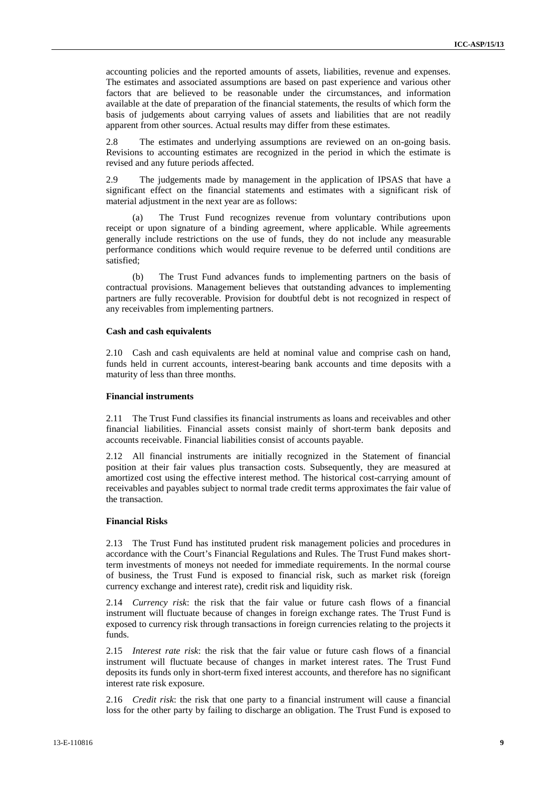accounting policies and the reported amounts of assets, liabilities, revenue and expenses. The estimates and associated assumptions are based on past experience and various other factors that are believed to be reasonable under the circumstances, and information available at the date of preparation of the financial statements, the results of which form the basis of judgements about carrying values of assets and liabilities that are not readily apparent from other sources. Actual results may differ from these estimates.

2.8 The estimates and underlying assumptions are reviewed on an on-going basis. Revisions to accounting estimates are recognized in the period in which the estimate is revised and any future periods affected.

2.9 The judgements made by management in the application of IPSAS that have a significant effect on the financial statements and estimates with a significant risk of material adjustment in the next year are as follows:

(a) The Trust Fund recognizes revenue from voluntary contributions upon receipt or upon signature of a binding agreement, where applicable. While agreements generally include restrictions on the use of funds, they do not include any measurable performance conditions which would require revenue to be deferred until conditions are satisfied;

(b) The Trust Fund advances funds to implementing partners on the basis of contractual provisions. Management believes that outstanding advances to implementing partners are fully recoverable. Provision for doubtful debt is not recognized in respect of any receivables from implementing partners.

#### **Cash and cash equivalents**

2.10 Cash and cash equivalents are held at nominal value and comprise cash on hand, funds held in current accounts, interest-bearing bank accounts and time deposits with a maturity of less than three months.

#### **Financial instruments**

2.11 The Trust Fund classifies its financial instruments as loans and receivables and other financial liabilities. Financial assets consist mainly of short-term bank deposits and accounts receivable. Financial liabilities consist of accounts payable.

2.12 All financial instruments are initially recognized in the Statement of financial position at their fair values plus transaction costs. Subsequently, they are measured at amortized cost using the effective interest method. The historical cost-carrying amount of receivables and payables subject to normal trade credit terms approximates the fair value of the transaction.

#### **Financial Risks**

2.13 The Trust Fund has instituted prudent risk management policies and procedures in accordance with the Court's Financial Regulations and Rules. The Trust Fund makes shortterm investments of moneys not needed for immediate requirements. In the normal course of business, the Trust Fund is exposed to financial risk, such as market risk (foreign currency exchange and interest rate), credit risk and liquidity risk.

2.14 *Currency risk*: the risk that the fair value or future cash flows of a financial instrument will fluctuate because of changes in foreign exchange rates. The Trust Fund is exposed to currency risk through transactions in foreign currencies relating to the projects it funds.

2.15 *Interest rate risk*: the risk that the fair value or future cash flows of a financial instrument will fluctuate because of changes in market interest rates. The Trust Fund deposits its funds only in short-term fixed interest accounts, and therefore has no significant interest rate risk exposure.

2.16 *Credit risk*: the risk that one party to a financial instrument will cause a financial loss for the other party by failing to discharge an obligation. The Trust Fund is exposed to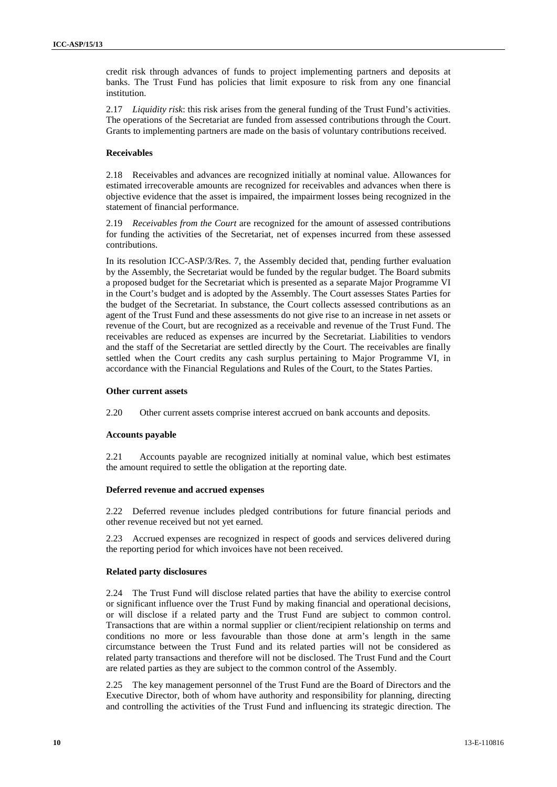credit risk through advances of funds to project implementing partners and deposits at banks. The Trust Fund has policies that limit exposure to risk from any one financial institution.

2.17 *Liquidity risk*: this risk arises from the general funding of the Trust Fund's activities. The operations of the Secretariat are funded from assessed contributions through the Court. Grants to implementing partners are made on the basis of voluntary contributions received.

#### **Receivables**

2.18 Receivables and advances are recognized initially at nominal value. Allowances for estimated irrecoverable amounts are recognized for receivables and advances when there is objective evidence that the asset is impaired, the impairment losses being recognized in the statement of financial performance.

2.19 *Receivables from the Court* are recognized for the amount of assessed contributions for funding the activities of the Secretariat, net of expenses incurred from these assessed contributions.

In its resolution ICC-ASP/3/Res. 7, the Assembly decided that, pending further evaluation by the Assembly, the Secretariat would be funded by the regular budget. The Board submits a proposed budget for the Secretariat which is presented as a separate Major Programme VI in the Court's budget and is adopted by the Assembly. The Court assesses States Parties for the budget of the Secretariat. In substance, the Court collects assessed contributions as an agent of the Trust Fund and these assessments do not give rise to an increase in net assets or revenue of the Court, but are recognized as a receivable and revenue of the Trust Fund. The receivables are reduced as expenses are incurred by the Secretariat. Liabilities to vendors and the staff of the Secretariat are settled directly by the Court. The receivables are finally settled when the Court credits any cash surplus pertaining to Major Programme VI, in accordance with the Financial Regulations and Rules of the Court, to the States Parties.

#### **Other current assets**

2.20 Other current assets comprise interest accrued on bank accounts and deposits.

#### **Accounts payable**

2.21 Accounts payable are recognized initially at nominal value, which best estimates the amount required to settle the obligation at the reporting date.

#### **Deferred revenue and accrued expenses**

2.22 Deferred revenue includes pledged contributions for future financial periods and other revenue received but not yet earned.

2.23 Accrued expenses are recognized in respect of goods and services delivered during the reporting period for which invoices have not been received.

#### **Related party disclosures**

2.24 The Trust Fund will disclose related parties that have the ability to exercise control or significant influence over the Trust Fund by making financial and operational decisions, or will disclose if a related party and the Trust Fund are subject to common control. Transactions that are within a normal supplier or client/recipient relationship on terms and conditions no more or less favourable than those done at arm's length in the same circumstance between the Trust Fund and its related parties will not be considered as related party transactions and therefore will not be disclosed. The Trust Fund and the Court are related parties as they are subject to the common control of the Assembly.

2.25 The key management personnel of the Trust Fund are the Board of Directors and the Executive Director, both of whom have authority and responsibility for planning, directing and controlling the activities of the Trust Fund and influencing its strategic direction. The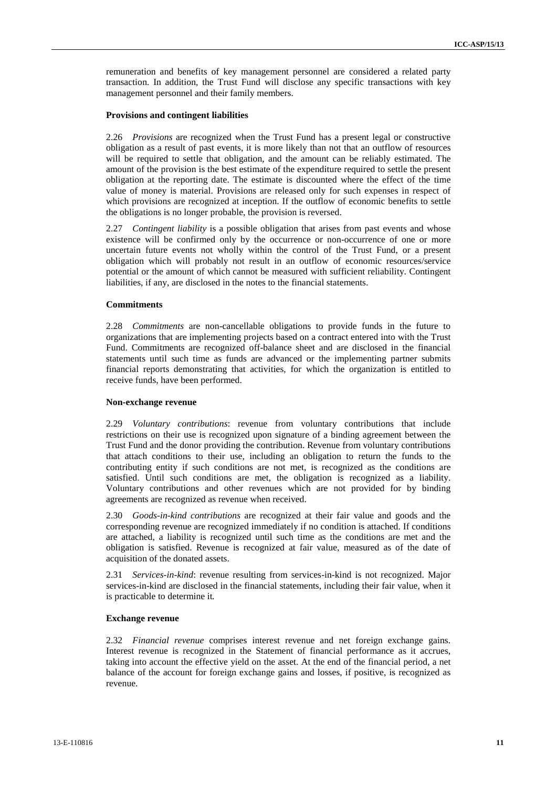remuneration and benefits of key management personnel are considered a related party transaction. In addition, the Trust Fund will disclose any specific transactions with key management personnel and their family members.

#### **Provisions and contingent liabilities**

2.26 *Provisions* are recognized when the Trust Fund has a present legal or constructive obligation as a result of past events, it is more likely than not that an outflow of resources will be required to settle that obligation, and the amount can be reliably estimated. The amount of the provision is the best estimate of the expenditure required to settle the present obligation at the reporting date. The estimate is discounted where the effect of the time value of money is material. Provisions are released only for such expenses in respect of which provisions are recognized at inception. If the outflow of economic benefits to settle the obligations is no longer probable, the provision is reversed.

2.27 *Contingent liability* is a possible obligation that arises from past events and whose existence will be confirmed only by the occurrence or non-occurrence of one or more uncertain future events not wholly within the control of the Trust Fund, or a present obligation which will probably not result in an outflow of economic resources/service potential or the amount of which cannot be measured with sufficient reliability. Contingent liabilities, if any, are disclosed in the notes to the financial statements.

#### **Commitments**

2.28 *Commitments* are non-cancellable obligations to provide funds in the future to organizations that are implementing projects based on a contract entered into with the Trust Fund. Commitments are recognized off-balance sheet and are disclosed in the financial statements until such time as funds are advanced or the implementing partner submits financial reports demonstrating that activities, for which the organization is entitled to receive funds, have been performed.

#### **Non-exchange revenue**

2.29 *Voluntary contributions*: revenue from voluntary contributions that include restrictions on their use is recognized upon signature of a binding agreement between the Trust Fund and the donor providing the contribution. Revenue from voluntary contributions that attach conditions to their use, including an obligation to return the funds to the contributing entity if such conditions are not met, is recognized as the conditions are satisfied. Until such conditions are met, the obligation is recognized as a liability. Voluntary contributions and other revenues which are not provided for by binding agreements are recognized as revenue when received.

2.30 *Goods-in-kind contributions* are recognized at their fair value and goods and the corresponding revenue are recognized immediately if no condition is attached. If conditions are attached, a liability is recognized until such time as the conditions are met and the obligation is satisfied. Revenue is recognized at fair value, measured as of the date of acquisition of the donated assets.

2.31 *Services-in-kind*: revenue resulting from services-in-kind is not recognized. Major services-in-kind are disclosed in the financial statements, including their fair value, when it is practicable to determine it*.*

#### **Exchange revenue**

2.32 *Financial revenue* comprises interest revenue and net foreign exchange gains. Interest revenue is recognized in the Statement of financial performance as it accrues, taking into account the effective yield on the asset. At the end of the financial period, a net balance of the account for foreign exchange gains and losses, if positive, is recognized as revenue.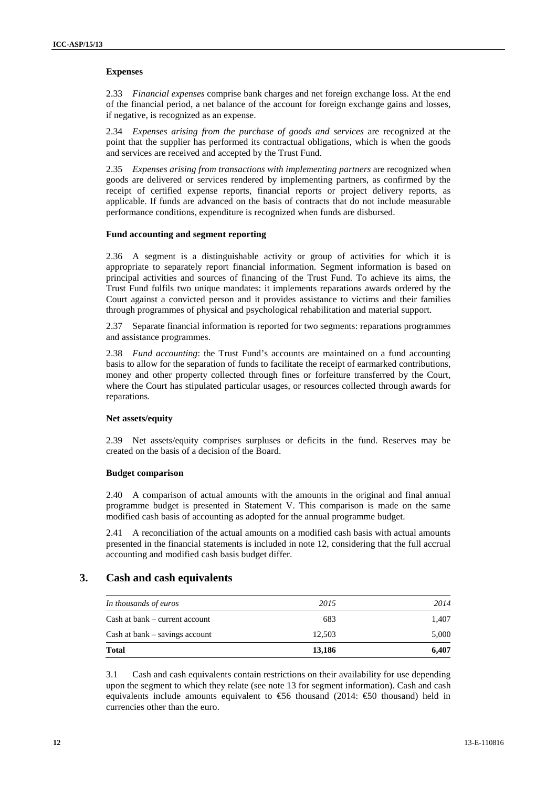#### **Expenses**

2.33 *Financial expenses* comprise bank charges and net foreign exchange loss. At the end of the financial period, a net balance of the account for foreign exchange gains and losses, if negative, is recognized as an expense.

2.34 *Expenses arising from the purchase of goods and services* are recognized at the point that the supplier has performed its contractual obligations, which is when the goods and services are received and accepted by the Trust Fund.

2.35 *Expenses arising from transactions with implementing partners* are recognized when goods are delivered or services rendered by implementing partners, as confirmed by the receipt of certified expense reports, financial reports or project delivery reports, as applicable. If funds are advanced on the basis of contracts that do not include measurable performance conditions, expenditure is recognized when funds are disbursed.

#### **Fund accounting and segment reporting**

2.36 A segment is a distinguishable activity or group of activities for which it is appropriate to separately report financial information. Segment information is based on principal activities and sources of financing of the Trust Fund. To achieve its aims, the Trust Fund fulfils two unique mandates: it implements reparations awards ordered by the Court against a convicted person and it provides assistance to victims and their families through programmes of physical and psychological rehabilitation and material support.

2.37 Separate financial information is reported for two segments: reparations programmes and assistance programmes.

2.38 *Fund accounting*: the Trust Fund's accounts are maintained on a fund accounting basis to allow for the separation of funds to facilitate the receipt of earmarked contributions, money and other property collected through fines or forfeiture transferred by the Court, where the Court has stipulated particular usages, or resources collected through awards for reparations.

#### **Net assets/equity**

2.39 Net assets/equity comprises surpluses or deficits in the fund. Reserves may be created on the basis of a decision of the Board.

#### **Budget comparison**

2.40 A comparison of actual amounts with the amounts in the original and final annual programme budget is presented in Statement V. This comparison is made on the same modified cash basis of accounting as adopted for the annual programme budget.

2.41 A reconciliation of the actual amounts on a modified cash basis with actual amounts presented in the financial statements is included in note 12, considering that the full accrual accounting and modified cash basis budget differ.

### **3. Cash and cash equivalents**

| <b>Total</b>                       | 13,186 | 6,407 |
|------------------------------------|--------|-------|
| $Cash$ at bank $-$ savings account | 12.503 | 5,000 |
| Cash at bank – current account     | 683    | 1.407 |
| In thousands of euros              | 2015   | 2014  |

3.1 Cash and cash equivalents contain restrictions on their availability for use depending upon the segment to which they relate (see note 13 for segment information). Cash and cash equivalents include amounts equivalent to  $\mathfrak{S}6$  thousand (2014:  $\mathfrak{S}0$  thousand) held in currencies other than the euro.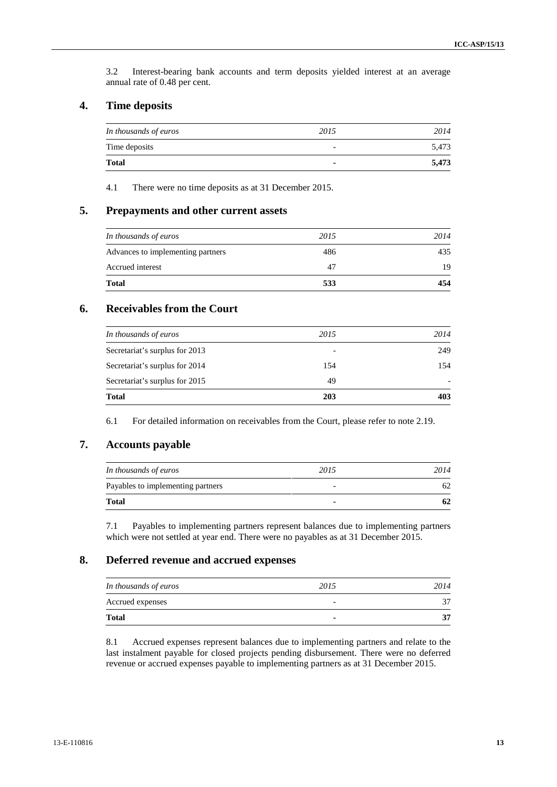3.2 Interest-bearing bank accounts and term deposits yielded interest at an average annual rate of 0.48 per cent.

### **4. Time deposits**

| In thousands of euros | 2015           | 2014  |
|-----------------------|----------------|-------|
| Time deposits         | ۰              | 5,473 |
| <b>Total</b>          | $\blacksquare$ | 5,473 |

4.1 There were no time deposits as at 31 December 2015.

### **5. Prepayments and other current assets**

| <b>Total</b>                      | 533  | 454  |
|-----------------------------------|------|------|
| Accrued interest                  | 47   | 19   |
| Advances to implementing partners | 486  | 435  |
| In thousands of euros             | 2015 | 2014 |
|                                   |      |      |

### **6. Receivables from the Court**

| In thousands of euros          | 2015                     | 2014                     |
|--------------------------------|--------------------------|--------------------------|
| Secretariat's surplus for 2013 | $\overline{\phantom{0}}$ | 249                      |
| Secretariat's surplus for 2014 | 154                      | 154                      |
| Secretariat's surplus for 2015 | 49                       | $\overline{\phantom{0}}$ |
| <b>Total</b>                   | 203                      | 403                      |

6.1 For detailed information on receivables from the Court, please refer to note 2.19.

## **7. Accounts payable**

| In thousands of euros             | 2015           | 2014 |
|-----------------------------------|----------------|------|
| Payables to implementing partners |                | 62   |
| <b>Total</b>                      | $\blacksquare$ | 62   |

7.1 Payables to implementing partners represent balances due to implementing partners which were not settled at year end. There were no payables as at 31 December 2015.

## **8. Deferred revenue and accrued expenses**

| In thousands of euros | 2015                     | 2014 |
|-----------------------|--------------------------|------|
| Accrued expenses      | $\overline{\phantom{0}}$ |      |
| <b>Total</b>          | $\blacksquare$           | 27   |

8.1 Accrued expenses represent balances due to implementing partners and relate to the last instalment payable for closed projects pending disbursement. There were no deferred revenue or accrued expenses payable to implementing partners as at 31 December 2015.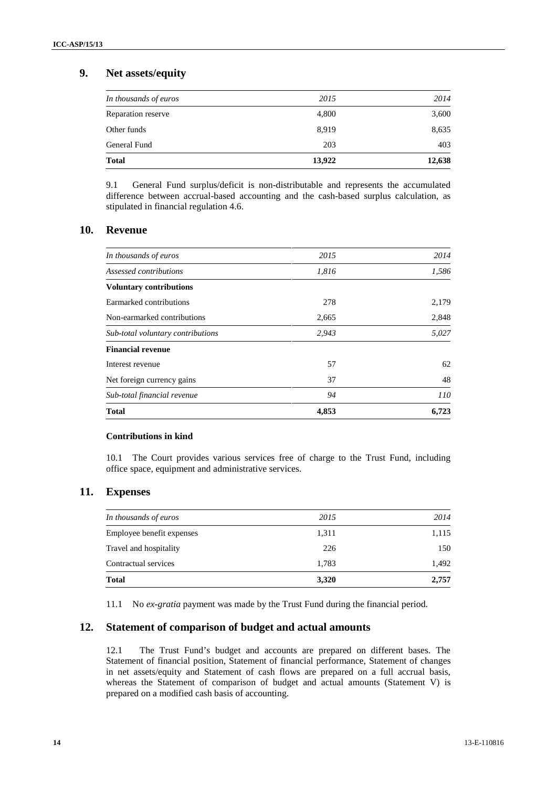## **9. Net assets/equity**

| 203   | 403   |
|-------|-------|
| 8,919 | 8,635 |
| 4,800 | 3,600 |
| 2015  | 2014  |
|       |       |

9.1 General Fund surplus/deficit is non-distributable and represents the accumulated difference between accrual-based accounting and the cash-based surplus calculation, as stipulated in financial regulation 4.6.

## **10. Revenue**

| In thousands of euros             | 2015  | 2014  |  |
|-----------------------------------|-------|-------|--|
| Assessed contributions            | 1,816 | 1,586 |  |
| <b>Voluntary contributions</b>    |       |       |  |
| Earmarked contributions           | 278   | 2,179 |  |
| Non-earmarked contributions       | 2,665 | 2,848 |  |
| Sub-total voluntary contributions | 2,943 | 5,027 |  |
| <b>Financial revenue</b>          |       |       |  |
| Interest revenue                  | 57    | 62    |  |
| Net foreign currency gains        | 37    | 48    |  |
| Sub-total financial revenue       | 94    | 110   |  |
| <b>Total</b>                      | 4,853 | 6.723 |  |

### **Contributions in kind**

10.1 The Court provides various services free of charge to the Trust Fund, including office space, equipment and administrative services.

### **11. Expenses**

| <b>Total</b>              | 3,320 | 2,757 |
|---------------------------|-------|-------|
| Contractual services      | 1,783 | 1,492 |
| Travel and hospitality    | 226   | 150   |
| Employee benefit expenses | 1,311 | 1,115 |
| In thousands of euros     | 2015  | 2014  |

11.1 No *ex-gratia* payment was made by the Trust Fund during the financial period.

### **12. Statement of comparison of budget and actual amounts**

12.1 The Trust Fund's budget and accounts are prepared on different bases. The Statement of financial position, Statement of financial performance, Statement of changes in net assets/equity and Statement of cash flows are prepared on a full accrual basis, whereas the Statement of comparison of budget and actual amounts (Statement V) is prepared on a modified cash basis of accounting.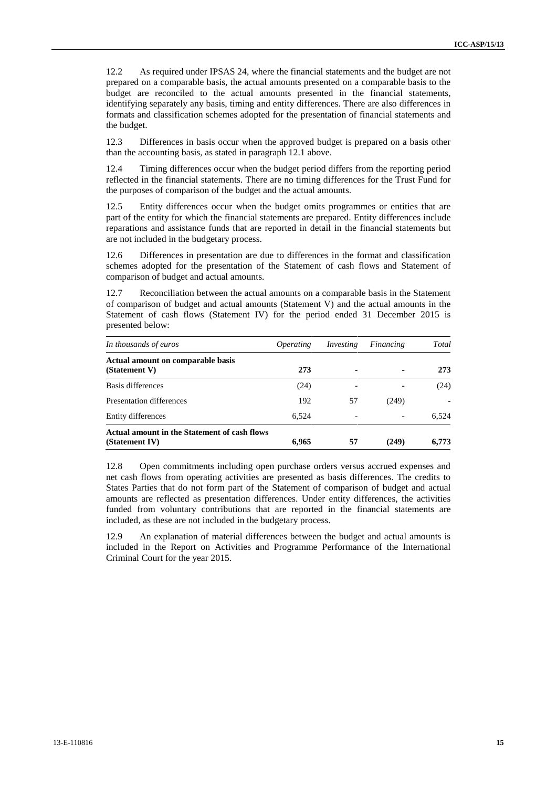12.2 As required under IPSAS 24, where the financial statements and the budget are not prepared on a comparable basis, the actual amounts presented on a comparable basis to the budget are reconciled to the actual amounts presented in the financial statements, identifying separately any basis, timing and entity differences. There are also differences in formats and classification schemes adopted for the presentation of financial statements and the budget.

12.3 Differences in basis occur when the approved budget is prepared on a basis other than the accounting basis, as stated in paragraph 12.1 above.

12.4 Timing differences occur when the budget period differs from the reporting period reflected in the financial statements. There are no timing differences for the Trust Fund for the purposes of comparison of the budget and the actual amounts.

12.5 Entity differences occur when the budget omits programmes or entities that are part of the entity for which the financial statements are prepared. Entity differences include reparations and assistance funds that are reported in detail in the financial statements but are not included in the budgetary process.

12.6 Differences in presentation are due to differences in the format and classification schemes adopted for the presentation of the Statement of cash flows and Statement of comparison of budget and actual amounts.

12.7 Reconciliation between the actual amounts on a comparable basis in the Statement of comparison of budget and actual amounts (Statement V) and the actual amounts in the Statement of cash flows (Statement IV) for the period ended 31 December 2015 is presented below:

| In thousands of euros                                          | <i>Operating</i> | Investing | Financing | Total                    |
|----------------------------------------------------------------|------------------|-----------|-----------|--------------------------|
| Actual amount on comparable basis<br>(Statement V)             | 273              |           |           | 273                      |
| Basis differences                                              | (24)             |           |           | (24)                     |
| Presentation differences                                       | 192              | 57        | (249)     | $\overline{\phantom{0}}$ |
| Entity differences                                             | 6.524            |           |           | 6.524                    |
| Actual amount in the Statement of cash flows<br>(Statement IV) | 6.965            | 57        | (249)     | 6.773                    |

12.8 Open commitments including open purchase orders versus accrued expenses and net cash flows from operating activities are presented as basis differences. The credits to States Parties that do not form part of the Statement of comparison of budget and actual amounts are reflected as presentation differences. Under entity differences, the activities funded from voluntary contributions that are reported in the financial statements are included, as these are not included in the budgetary process.

12.9 An explanation of material differences between the budget and actual amounts is included in the Report on Activities and Programme Performance of the International Criminal Court for the year 2015.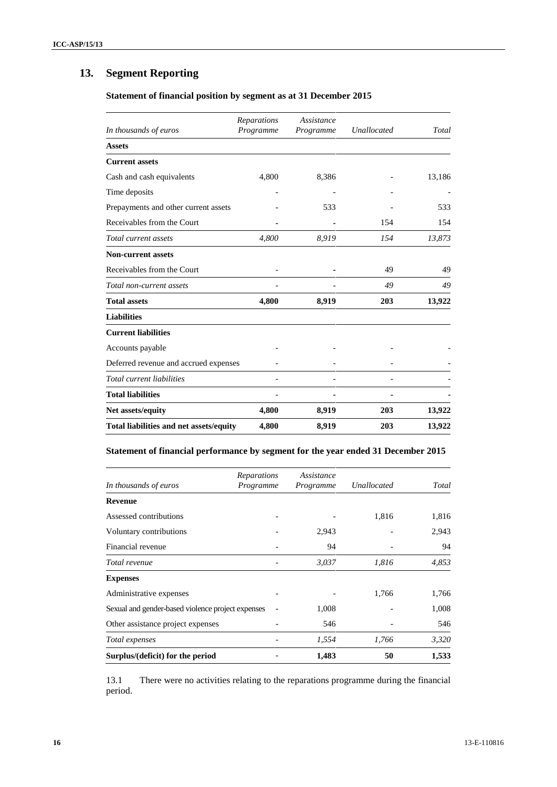# **13. Segment Reporting**

### **Statement of financial position by segment as at 31 December 2015**

| In thousands of euros                   | <b>Reparations</b><br>Programme | Assistance<br>Programme | Unallocated | Total  |
|-----------------------------------------|---------------------------------|-------------------------|-------------|--------|
| <b>Assets</b>                           |                                 |                         |             |        |
| <b>Current assets</b>                   |                                 |                         |             |        |
| Cash and cash equivalents               | 4,800                           | 8,386                   |             | 13,186 |
| Time deposits                           |                                 |                         |             |        |
| Prepayments and other current assets    |                                 | 533                     |             | 533    |
| Receivables from the Court              |                                 |                         | 154         | 154    |
| Total current assets                    | 4,800                           | 8,919                   | 154         | 13,873 |
| <b>Non-current assets</b>               |                                 |                         |             |        |
| Receivables from the Court              |                                 |                         | 49          | 49     |
| Total non-current assets                |                                 |                         | 49          | 49     |
| <b>Total assets</b>                     | 4,800                           | 8,919                   | 203         | 13,922 |
| <b>Liabilities</b>                      |                                 |                         |             |        |
| <b>Current liabilities</b>              |                                 |                         |             |        |
| Accounts payable                        |                                 |                         |             |        |
| Deferred revenue and accrued expenses   |                                 |                         |             |        |
| Total current liabilities               |                                 |                         |             |        |
| <b>Total liabilities</b>                |                                 |                         |             |        |
| Net assets/equity                       | 4,800                           | 8,919                   | 203         | 13,922 |
| Total liabilities and net assets/equity | 4,800                           | 8,919                   | 203         | 13,922 |

### **Statement of financial performance by segment for the year ended 31 December 2015**

| In thousands of euros                             | Reparations<br>Programme | Assistance<br>Programme | Unallocated | Total |
|---------------------------------------------------|--------------------------|-------------------------|-------------|-------|
| <b>Revenue</b>                                    |                          |                         |             |       |
| Assessed contributions                            |                          |                         | 1,816       | 1,816 |
| Voluntary contributions                           |                          | 2,943                   |             | 2,943 |
| Financial revenue                                 |                          | 94                      |             | 94    |
| Total revenue                                     |                          | 3,037                   | 1,816       | 4,853 |
| <b>Expenses</b>                                   |                          |                         |             |       |
| Administrative expenses                           |                          |                         | 1,766       | 1,766 |
| Sexual and gender-based violence project expenses |                          | 1,008                   |             | 1,008 |
| Other assistance project expenses                 |                          | 546                     |             | 546   |
| Total expenses                                    |                          | 1,554                   | 1,766       | 3,320 |
| Surplus/(deficit) for the period                  |                          | 1,483                   | 50          | 1,533 |

13.1 There were no activities relating to the reparations programme during the financial period.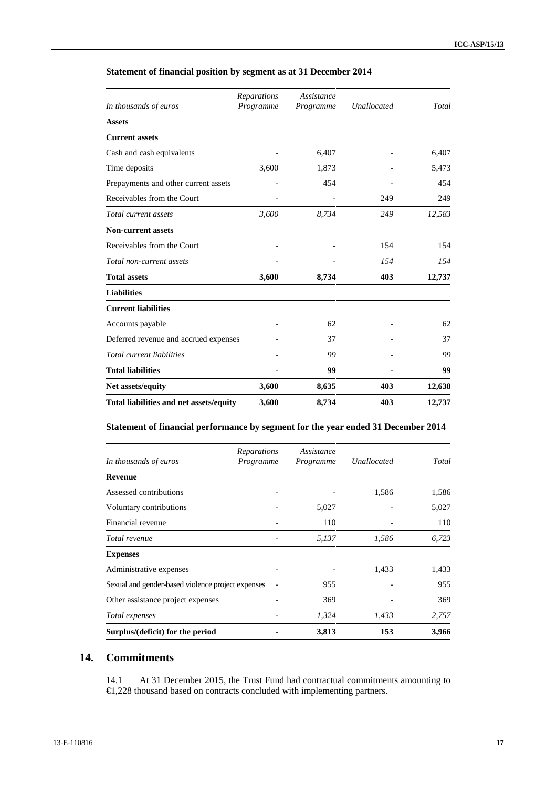| In thousands of euros                   | Reparations<br>Programme | Assistance<br>Programme | <b>Unallocated</b> | Total  |
|-----------------------------------------|--------------------------|-------------------------|--------------------|--------|
| <b>Assets</b>                           |                          |                         |                    |        |
| <b>Current assets</b>                   |                          |                         |                    |        |
| Cash and cash equivalents               |                          | 6,407                   |                    | 6,407  |
| Time deposits                           | 3,600                    | 1,873                   |                    | 5,473  |
| Prepayments and other current assets    |                          | 454                     |                    | 454    |
| Receivables from the Court              |                          |                         | 249                | 249    |
| Total current assets                    | 3,600                    | 8,734                   | 249                | 12,583 |
| <b>Non-current assets</b>               |                          |                         |                    |        |
| Receivables from the Court              |                          |                         | 154                | 154    |
| Total non-current assets                |                          |                         | 154                | 154    |
| <b>Total assets</b>                     | 3,600                    | 8,734                   | 403                | 12,737 |
| <b>Liabilities</b>                      |                          |                         |                    |        |
| <b>Current liabilities</b>              |                          |                         |                    |        |
| Accounts payable                        |                          | 62                      |                    | 62     |
| Deferred revenue and accrued expenses   |                          | 37                      |                    | 37     |
| Total current liabilities               |                          | 99                      |                    | 99     |
| <b>Total liabilities</b>                |                          | 99                      |                    | 99     |
| Net assets/equity                       | 3,600                    | 8,635                   | 403                | 12,638 |
| Total liabilities and net assets/equity | 3,600                    | 8,734                   | 403                | 12,737 |

### **Statement of financial position by segment as at 31 December 2014**

### **Statement of financial performance by segment for the year ended 31 December 2014**

| In thousands of euros                             | Reparations<br>Programme | Assistance<br>Programme | Unallocated | Total |
|---------------------------------------------------|--------------------------|-------------------------|-------------|-------|
| <b>Revenue</b>                                    |                          |                         |             |       |
| Assessed contributions                            |                          |                         | 1,586       | 1,586 |
| Voluntary contributions                           |                          | 5,027                   |             | 5,027 |
| Financial revenue                                 |                          | 110                     |             | 110   |
| Total revenue                                     |                          | 5,137                   | 1,586       | 6,723 |
| <b>Expenses</b>                                   |                          |                         |             |       |
| Administrative expenses                           |                          |                         | 1,433       | 1,433 |
| Sexual and gender-based violence project expenses |                          | 955                     |             | 955   |
| Other assistance project expenses                 |                          | 369                     |             | 369   |
| Total expenses                                    |                          | 1,324                   | 1,433       | 2,757 |
| Surplus/(deficit) for the period                  |                          | 3,813                   | 153         | 3,966 |

## **14. Commitments**

14.1 At 31 December 2015, the Trust Fund had contractual commitments amounting to €1,228 thousand based on contracts concluded with implementing partners.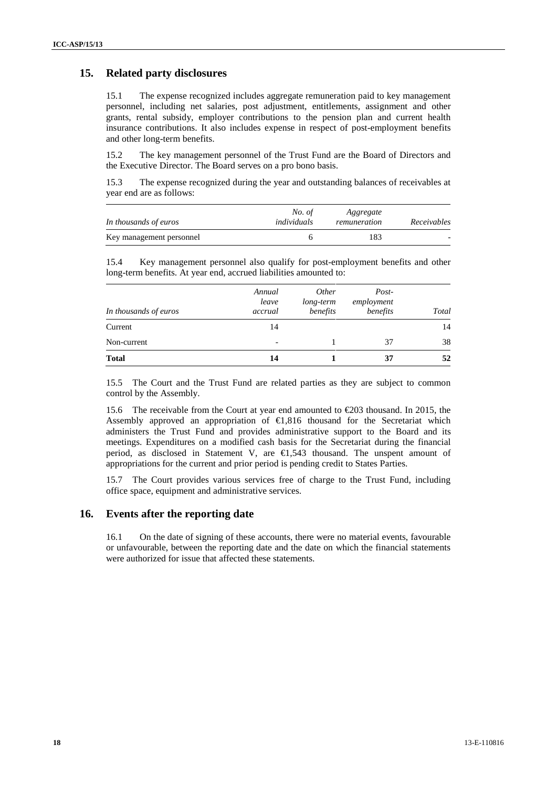### **15. Related party disclosures**

15.1 The expense recognized includes aggregate remuneration paid to key management personnel, including net salaries, post adjustment, entitlements, assignment and other grants, rental subsidy, employer contributions to the pension plan and current health insurance contributions. It also includes expense in respect of post-employment benefits and other long-term benefits.

15.2 The key management personnel of the Trust Fund are the Board of Directors and the Executive Director. The Board serves on a pro bono basis.

15.3 The expense recognized during the year and outstanding balances of receivables at year end are as follows:

| In thousands of euros    | No. of<br>individuals | Aggregate<br>remuneration | Receivables              |
|--------------------------|-----------------------|---------------------------|--------------------------|
| Key management personnel |                       | 183                       | $\overline{\phantom{0}}$ |

15.4 Key management personnel also qualify for post-employment benefits and other long-term benefits. At year end, accrued liabilities amounted to:

| In thousands of euros | Annual<br>leave<br>accrual | <i>Other</i><br>long-term<br>benefits | Post-<br>employment<br>benefits | Total |
|-----------------------|----------------------------|---------------------------------------|---------------------------------|-------|
| Current               | 14                         |                                       |                                 | 14    |
| Non-current           | $\overline{\phantom{0}}$   |                                       | 37                              | 38    |
| <b>Total</b>          | 14                         |                                       | 37                              | 52    |

15.5 The Court and the Trust Fund are related parties as they are subject to common control by the Assembly.

15.6 The receivable from the Court at year end amounted to €203 thousand. In 2015, the Assembly approved an appropriation of €1,816 thousand for the Secretariat which administers the Trust Fund and provides administrative support to the Board and its meetings. Expenditures on a modified cash basis for the Secretariat during the financial period, as disclosed in Statement V, are €1,543 thousand. The unspent amount of appropriations for the current and prior period is pending credit to States Parties.

15.7 The Court provides various services free of charge to the Trust Fund, including office space, equipment and administrative services.

### **16. Events after the reporting date**

16.1 On the date of signing of these accounts, there were no material events, favourable or unfavourable, between the reporting date and the date on which the financial statements were authorized for issue that affected these statements.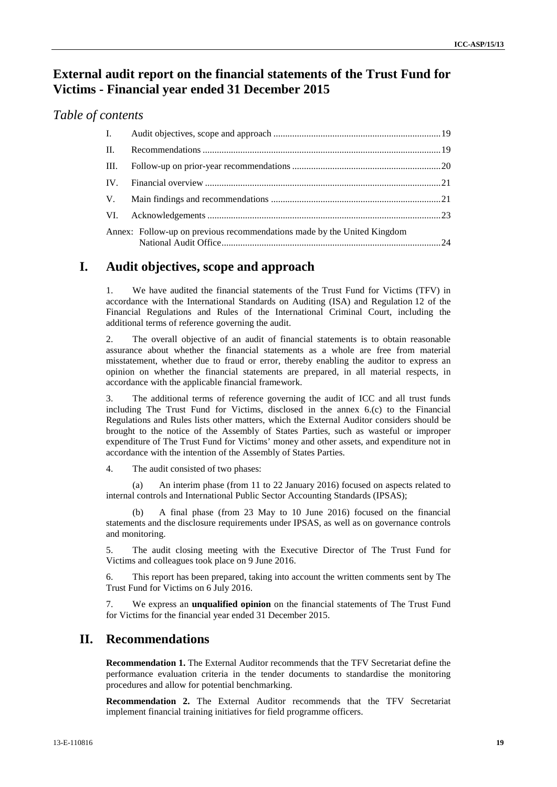# **External audit report on the financial statements of the Trust Fund for Victims - Financial year ended 31 December 2015**

### *Table of contents*

| $\mathbf{L}$ |                                                                         |  |
|--------------|-------------------------------------------------------------------------|--|
| $\Pi$ .      |                                                                         |  |
| III.         |                                                                         |  |
|              |                                                                         |  |
| V.           |                                                                         |  |
|              |                                                                         |  |
|              | Annex: Follow-up on previous recommendations made by the United Kingdom |  |

## **I. Audit objectives, scope and approach**

1. We have audited the financial statements of the Trust Fund for Victims (TFV) in accordance with the International Standards on Auditing (ISA) and Regulation 12 of the Financial Regulations and Rules of the International Criminal Court, including the additional terms of reference governing the audit.

2. The overall objective of an audit of financial statements is to obtain reasonable assurance about whether the financial statements as a whole are free from material misstatement, whether due to fraud or error, thereby enabling the auditor to express an opinion on whether the financial statements are prepared, in all material respects, in accordance with the applicable financial framework.

3. The additional terms of reference governing the audit of ICC and all trust funds including The Trust Fund for Victims, disclosed in the annex 6.(c) to the Financial Regulations and Rules lists other matters, which the External Auditor considers should be brought to the notice of the Assembly of States Parties, such as wasteful or improper expenditure of The Trust Fund for Victims' money and other assets, and expenditure not in accordance with the intention of the Assembly of States Parties.

4. The audit consisted of two phases:

(a) An interim phase (from 11 to 22 January 2016) focused on aspects related to internal controls and International Public Sector Accounting Standards (IPSAS);

(b) A final phase (from 23 May to 10 June 2016) focused on the financial statements and the disclosure requirements under IPSAS, as well as on governance controls and monitoring.

5. The audit closing meeting with the Executive Director of The Trust Fund for Victims and colleagues took place on 9 June 2016.

6. This report has been prepared, taking into account the written comments sent by The Trust Fund for Victims on 6 July 2016.

7. We express an **unqualified opinion** on the financial statements of The Trust Fund for Victims for the financial year ended 31 December 2015.

# **II. Recommendations**

**Recommendation 1.** The External Auditor recommends that the TFV Secretariat define the performance evaluation criteria in the tender documents to standardise the monitoring procedures and allow for potential benchmarking.

**Recommendation 2.** The External Auditor recommends that the TFV Secretariat implement financial training initiatives for field programme officers.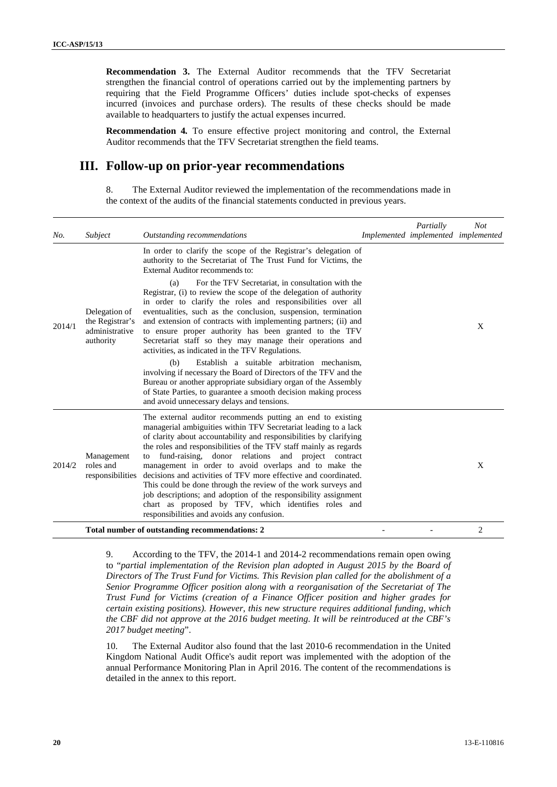**Recommendation 3.** The External Auditor recommends that the TFV Secretariat strengthen the financial control of operations carried out by the implementing partners by requiring that the Field Programme Officers' duties include spot-checks of expenses incurred (invoices and purchase orders). The results of these checks should be made available to headquarters to justify the actual expenses incurred.

**Recommendation 4***.* To ensure effective project monitoring and control, the External Auditor recommends that the TFV Secretariat strengthen the field teams.

## **III. Follow-up on prior-year recommendations**

8. The External Auditor reviewed the implementation of the recommendations made in the context of the audits of the financial statements conducted in previous years.

| No.    | Subject                                                         | Outstanding recommendations                                                                                                                                                                                                                                                                                                                                                                                                                                                                                                                                                                                                                                                                                | Partially<br>Implemented implemented implemented | <b>Not</b>     |
|--------|-----------------------------------------------------------------|------------------------------------------------------------------------------------------------------------------------------------------------------------------------------------------------------------------------------------------------------------------------------------------------------------------------------------------------------------------------------------------------------------------------------------------------------------------------------------------------------------------------------------------------------------------------------------------------------------------------------------------------------------------------------------------------------------|--------------------------------------------------|----------------|
|        |                                                                 | In order to clarify the scope of the Registrar's delegation of<br>authority to the Secretariat of The Trust Fund for Victims, the<br>External Auditor recommends to:                                                                                                                                                                                                                                                                                                                                                                                                                                                                                                                                       |                                                  |                |
| 2014/1 | Delegation of<br>the Registrar's<br>administrative<br>authority | For the TFV Secretariat, in consultation with the<br>(a)<br>Registrar, (i) to review the scope of the delegation of authority<br>in order to clarify the roles and responsibilities over all<br>eventualities, such as the conclusion, suspension, termination<br>and extension of contracts with implementing partners; (ii) and<br>to ensure proper authority has been granted to the TFV<br>Secretariat staff so they may manage their operations and<br>activities, as indicated in the TFV Regulations.                                                                                                                                                                                               |                                                  | X              |
|        |                                                                 | Establish a suitable arbitration mechanism,<br>(b)<br>involving if necessary the Board of Directors of the TFV and the<br>Bureau or another appropriate subsidiary organ of the Assembly<br>of State Parties, to guarantee a smooth decision making process<br>and avoid unnecessary delays and tensions.                                                                                                                                                                                                                                                                                                                                                                                                  |                                                  |                |
| 2014/2 | Management<br>roles and<br>responsibilities                     | The external auditor recommends putting an end to existing<br>managerial ambiguities within TFV Secretariat leading to a lack<br>of clarity about accountability and responsibilities by clarifying<br>the roles and responsibilities of the TFV staff mainly as regards<br>fund-raising, donor relations and project contract<br>to<br>management in order to avoid overlaps and to make the<br>decisions and activities of TFV more effective and coordinated.<br>This could be done through the review of the work surveys and<br>job descriptions; and adoption of the responsibility assignment<br>chart as proposed by TFV, which identifies roles and<br>responsibilities and avoids any confusion. |                                                  | X              |
|        |                                                                 | Total number of outstanding recommendations: 2                                                                                                                                                                                                                                                                                                                                                                                                                                                                                                                                                                                                                                                             |                                                  | $\overline{2}$ |

9. According to the TFV, the 2014-1 and 2014-2 recommendations remain open owing to "*partial implementation of the Revision plan adopted in August 2015 by the Board of Directors of The Trust Fund for Victims. This Revision plan called for the abolishment of a Senior Programme Officer position along with a reorganisation of the Secretariat of The Trust Fund for Victims (creation of a Finance Officer position and higher grades for certain existing positions). However, this new structure requires additional funding, which the CBF did not approve at the 2016 budget meeting. It will be reintroduced at the CBF's 2017 budget meeting*".

10. The External Auditor also found that the last 2010-6 recommendation in the United Kingdom National Audit Office's audit report was implemented with the adoption of the annual Performance Monitoring Plan in April 2016. The content of the recommendations is detailed in the annex to this report.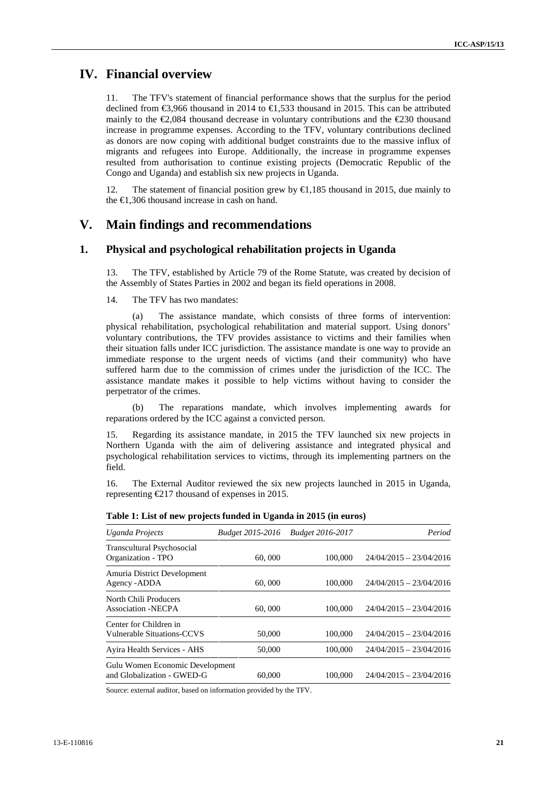## **IV. Financial overview**

11. The TFV's statement of financial performance shows that the surplus for the period declined from  $\epsilon$ 3,966 thousand in 2014 to  $\epsilon$ 1,533 thousand in 2015. This can be attributed mainly to the  $\epsilon 2.084$  thousand decrease in voluntary contributions and the  $\epsilon 230$  thousand increase in programme expenses. According to the TFV, voluntary contributions declined as donors are now coping with additional budget constraints due to the massive influx of migrants and refugees into Europe. Additionally, the increase in programme expenses resulted from authorisation to continue existing projects (Democratic Republic of the Congo and Uganda) and establish six new projects in Uganda.

12. The statement of financial position grew by €1,185 thousand in 2015, due mainly to the €1,306 thousand increase in cash on hand.

# **V. Main findings and recommendations**

### **1. Physical and psychological rehabilitation projects in Uganda**

13. The TFV, established by Article 79 of the Rome Statute, was created by decision of the Assembly of States Parties in 2002 and began its field operations in 2008.

14. The TFV has two mandates:

(a) The assistance mandate, which consists of three forms of intervention: physical rehabilitation, psychological rehabilitation and material support. Using donors' voluntary contributions, the TFV provides assistance to victims and their families when their situation falls under ICC jurisdiction. The assistance mandate is one way to provide an immediate response to the urgent needs of victims (and their community) who have suffered harm due to the commission of crimes under the jurisdiction of the ICC. The assistance mandate makes it possible to help victims without having to consider the perpetrator of the crimes.

(b) The reparations mandate, which involves implementing awards for reparations ordered by the ICC against a convicted person.

Regarding its assistance mandate, in 2015 the TFV launched six new projects in Northern Uganda with the aim of delivering assistance and integrated physical and psychological rehabilitation services to victims, through its implementing partners on the field.

16. The External Auditor reviewed the six new projects launched in 2015 in Uganda, representing €217 thousand of expenses in 2015.

| Uganda Projects                                               | <b>Budget 2015-2016</b> | <b>Budget 2016-2017</b> | Period                    |
|---------------------------------------------------------------|-------------------------|-------------------------|---------------------------|
| Transcultural Psychosocial<br>Organization - TPO              | 60,000                  | 100,000                 | $24/04/2015 - 23/04/2016$ |
| Amuria District Development<br>Agency - ADDA                  | 60,000                  | 100,000                 | $24/04/2015 - 23/04/2016$ |
| North Chili Producers<br>Association -NECPA                   | 60,000                  | 100,000                 | $24/04/2015 - 23/04/2016$ |
| Center for Children in<br>Vulnerable Situations-CCVS          | 50,000                  | 100,000                 | $24/04/2015 - 23/04/2016$ |
| Ayira Health Services - AHS                                   | 50,000                  | 100,000                 | $24/04/2015 - 23/04/2016$ |
| Gulu Women Economic Development<br>and Globalization - GWED-G | 60,000                  | 100,000                 | $24/04/2015 - 23/04/2016$ |

**Table 1: List of new projects funded in Uganda in 2015 (in euros)**

Source: external auditor, based on information provided by the TFV.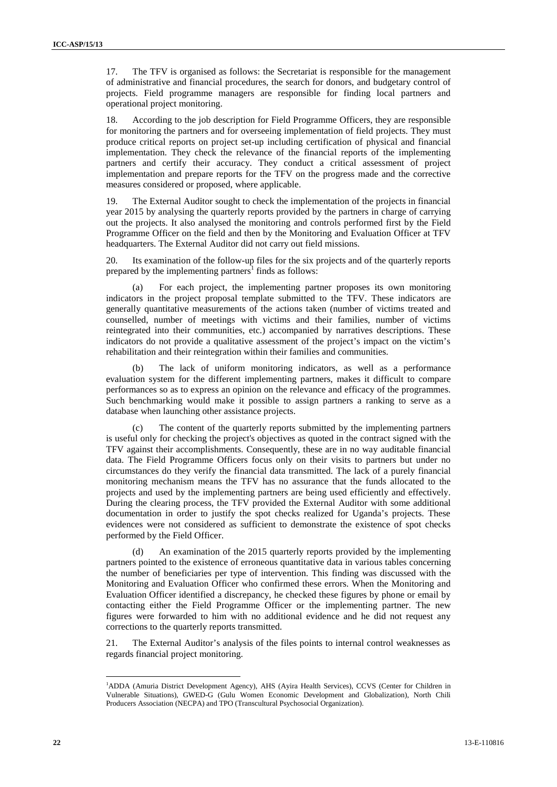17. The TFV is organised as follows: the Secretariat is responsible for the management of administrative and financial procedures, the search for donors, and budgetary control of projects. Field programme managers are responsible for finding local partners and operational project monitoring.

18. According to the job description for Field Programme Officers, they are responsible for monitoring the partners and for overseeing implementation of field projects. They must produce critical reports on project set-up including certification of physical and financial implementation. They check the relevance of the financial reports of the implementing partners and certify their accuracy. They conduct a critical assessment of project implementation and prepare reports for the TFV on the progress made and the corrective measures considered or proposed, where applicable.

19. The External Auditor sought to check the implementation of the projects in financial year 2015 by analysing the quarterly reports provided by the partners in charge of carrying out the projects. It also analysed the monitoring and controls performed first by the Field Programme Officer on the field and then by the Monitoring and Evaluation Officer at TFV headquarters. The External Auditor did not carry out field missions.

20. Its examination of the follow-up files for the six projects and of the quarterly reports prepared by the implementing partners<sup>1</sup> finds as follows:

For each project, the implementing partner proposes its own monitoring indicators in the project proposal template submitted to the TFV. These indicators are generally quantitative measurements of the actions taken (number of victims treated and counselled, number of meetings with victims and their families, number of victims reintegrated into their communities, etc.) accompanied by narratives descriptions. These indicators do not provide a qualitative assessment of the project's impact on the victim's rehabilitation and their reintegration within their families and communities.

(b) The lack of uniform monitoring indicators, as well as a performance evaluation system for the different implementing partners, makes it difficult to compare performances so as to express an opinion on the relevance and efficacy of the programmes. Such benchmarking would make it possible to assign partners a ranking to serve as a database when launching other assistance projects.

(c) The content of the quarterly reports submitted by the implementing partners is useful only for checking the project's objectives as quoted in the contract signed with the TFV against their accomplishments. Consequently, these are in no way auditable financial data. The Field Programme Officers focus only on their visits to partners but under no circumstances do they verify the financial data transmitted. The lack of a purely financial monitoring mechanism means the TFV has no assurance that the funds allocated to the projects and used by the implementing partners are being used efficiently and effectively. During the clearing process, the TFV provided the External Auditor with some additional documentation in order to justify the spot checks realized for Uganda's projects. These evidences were not considered as sufficient to demonstrate the existence of spot checks performed by the Field Officer.

(d) An examination of the 2015 quarterly reports provided by the implementing partners pointed to the existence of erroneous quantitative data in various tables concerning the number of beneficiaries per type of intervention. This finding was discussed with the Monitoring and Evaluation Officer who confirmed these errors. When the Monitoring and Evaluation Officer identified a discrepancy, he checked these figures by phone or email by contacting either the Field Programme Officer or the implementing partner. The new figures were forwarded to him with no additional evidence and he did not request any corrections to the quarterly reports transmitted.

21. The External Auditor's analysis of the files points to internal control weaknesses as regards financial project monitoring.

<sup>1</sup>ADDA (Amuria District Development Agency), AHS (Ayira Health Services), CCVS (Center for Children in Vulnerable Situations), GWED-G (Gulu Women Economic Development and Globalization), North Chili Producers Association (NECPA) and TPO (Transcultural Psychosocial Organization).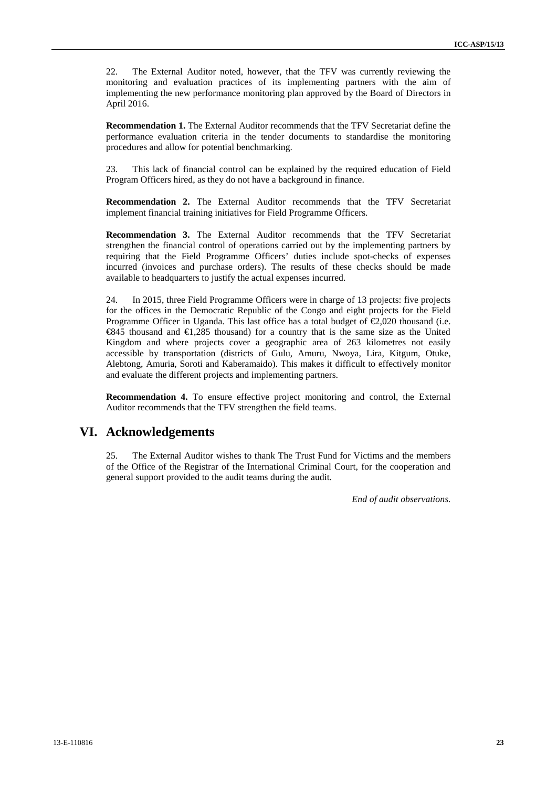22. The External Auditor noted, however, that the TFV was currently reviewing the monitoring and evaluation practices of its implementing partners with the aim of implementing the new performance monitoring plan approved by the Board of Directors in April 2016.

**Recommendation 1.** The External Auditor recommends that the TFV Secretariat define the performance evaluation criteria in the tender documents to standardise the monitoring procedures and allow for potential benchmarking.

23. This lack of financial control can be explained by the required education of Field Program Officers hired, as they do not have a background in finance.

**Recommendation 2.** The External Auditor recommends that the TFV Secretariat implement financial training initiatives for Field Programme Officers.

**Recommendation 3.** The External Auditor recommends that the TFV Secretariat strengthen the financial control of operations carried out by the implementing partners by requiring that the Field Programme Officers' duties include spot-checks of expenses incurred (invoices and purchase orders). The results of these checks should be made available to headquarters to justify the actual expenses incurred.

24. In 2015, three Field Programme Officers were in charge of 13 projects: five projects for the offices in the Democratic Republic of the Congo and eight projects for the Field Programme Officer in Uganda. This last office has a total budget of  $\epsilon$ 2,020 thousand (i.e.  $\epsilon$ 845 thousand and  $\epsilon$ 1,285 thousand) for a country that is the same size as the United Kingdom and where projects cover a geographic area of 263 kilometres not easily accessible by transportation (districts of Gulu, Amuru, Nwoya, Lira, Kitgum, Otuke, Alebtong, Amuria, Soroti and Kaberamaido). This makes it difficult to effectively monitor and evaluate the different projects and implementing partners.

**Recommendation 4.** To ensure effective project monitoring and control, the External Auditor recommends that the TFV strengthen the field teams.

## **VI. Acknowledgements**

25. The External Auditor wishes to thank The Trust Fund for Victims and the members of the Office of the Registrar of the International Criminal Court, for the cooperation and general support provided to the audit teams during the audit.

*End of audit observations*.